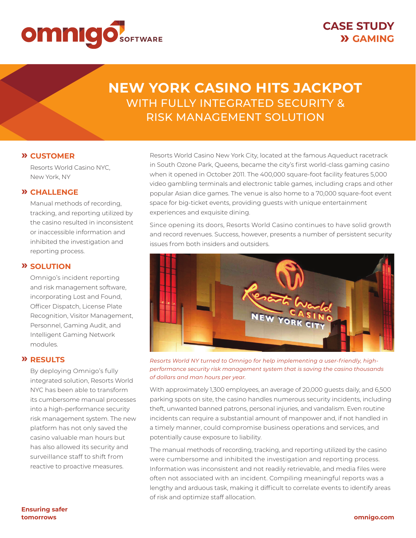

# **NEW YORK CASINO HITS JACKPOT**  WITH FULLY INTEGRATED SECURITY & RISK MANAGEMENT SOLUTION

### **» CUSTOMER**

 Resorts World Casino NYC, New York, NY

### **» CHALLENGE**

Manual methods of recording, tracking, and reporting utilized by the casino resulted in inconsistent or inaccessible information and inhibited the investigation and reporting process.

#### **» SOLUTION**

 Omnigo's incident reporting and risk management software, incorporating Lost and Found, Officer Dispatch, License Plate Recognition, Visitor Management, Personnel, Gaming Audit, and Intelligent Gaming Network modules.

### **» RESULTS**

 By deploying Omnigo's fully integrated solution, Resorts World NYC has been able to transform its cumbersome manual processes into a high-performance security risk management system. The new platform has not only saved the casino valuable man hours but has also allowed its security and surveillance staff to shift from reactive to proactive measures.

Resorts World Casino New York City, located at the famous Aqueduct racetrack in South Ozone Park, Queens, became the city's first world-class gaming casino when it opened in October 2011. The 400,000 square-foot facility features 5,000 video gambling terminals and electronic table games, including craps and other popular Asian dice games. The venue is also home to a 70,000 square-foot event space for big-ticket events, providing guests with unique entertainment experiences and exquisite dining.

Since opening its doors, Resorts World Casino continues to have solid growth and record revenues. Success, however, presents a number of persistent security issues from both insiders and outsiders.



*Resorts World NY turned to Omnigo for help implementing a user-friendly, highperformance security risk management system that is saving the casino thousands of dollars and man hours per year.*

With approximately 1,300 employees, an average of 20,000 guests daily, and 6,500 parking spots on site, the casino handles numerous security incidents, including theft, unwanted banned patrons, personal injuries, and vandalism. Even routine incidents can require a substantial amount of manpower and, if not handled in a timely manner, could compromise business operations and services, and potentially cause exposure to liability.

The manual methods of recording, tracking, and reporting utilized by the casino were cumbersome and inhibited the investigation and reporting process. Information was inconsistent and not readily retrievable, and media files were often not associated with an incident. Compiling meaningful reports was a lengthy and arduous task, making it difficult to correlate events to identify areas of risk and optimize staff allocation.